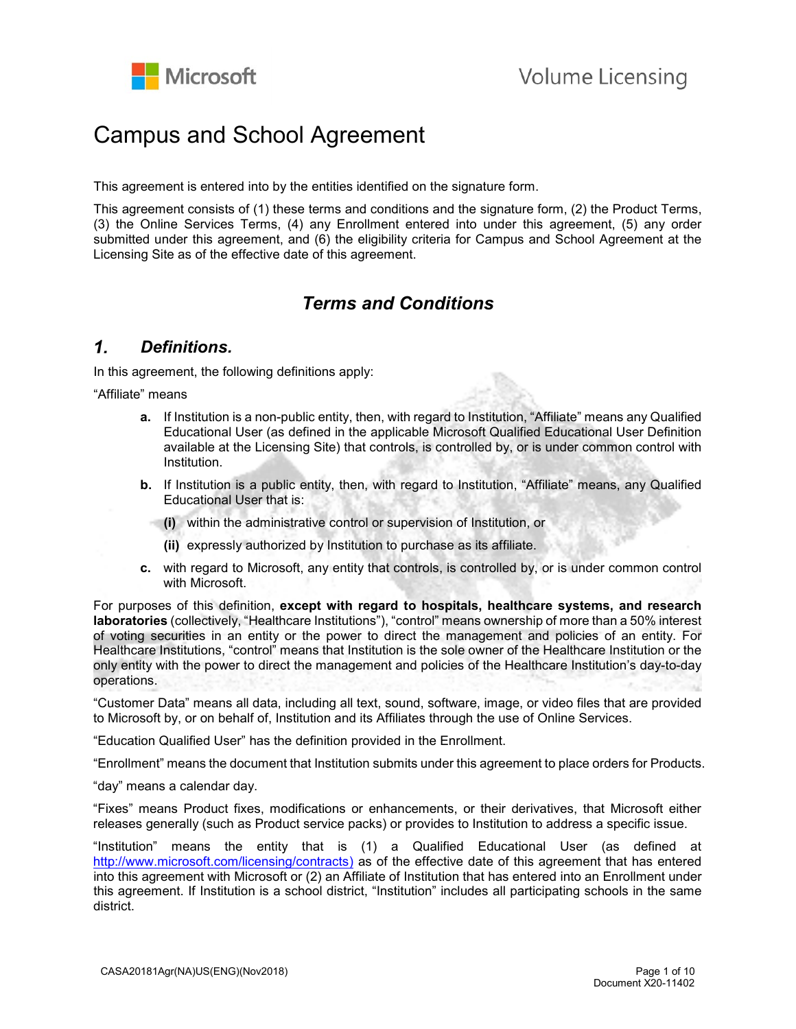

# Campus and School Agreement

This agreement is entered into by the entities identified on the signature form.

This agreement consists of (1) these terms and conditions and the signature form, (2) the Product Terms, (3) the Online Services Terms, (4) any Enrollment entered into under this agreement, (5) any order submitted under this agreement, and (6) the eligibility criteria for Campus and School Agreement at the Licensing Site as of the effective date of this agreement.

# *Terms and Conditions*

#### $\mathbf{1}$ *Definitions.*

In this agreement, the following definitions apply:

"Affiliate" means

- **a.** If Institution is a non-public entity, then, with regard to Institution, "Affiliate" means any Qualified Educational User (as defined in the applicable Microsoft Qualified Educational User Definition available at the Licensing Site) that controls, is controlled by, or is under common control with Institution.
- **b.** If Institution is a public entity, then, with regard to Institution, "Affiliate" means, any Qualified Educational User that is:
	- **(i)** within the administrative control or supervision of Institution, or
	- **(ii)** expressly authorized by Institution to purchase as its affiliate.
- **c.** with regard to Microsoft, any entity that controls, is controlled by, or is under common control with Microsoft.

For purposes of this definition, **except with regard to hospitals, healthcare systems, and research laboratories** (collectively, "Healthcare Institutions"), "control" means ownership of more than a 50% interest of voting securities in an entity or the power to direct the management and policies of an entity. For Healthcare Institutions, "control" means that Institution is the sole owner of the Healthcare Institution or the only entity with the power to direct the management and policies of the Healthcare Institution's day-to-day operations.

"Customer Data" means all data, including all text, sound, software, image, or video files that are provided to Microsoft by, or on behalf of, Institution and its Affiliates through the use of Online Services.

"Education Qualified User" has the definition provided in the Enrollment.

"Enrollment" means the document that Institution submits under this agreement to place orders for Products.

"day" means a calendar day.

"Fixes" means Product fixes, modifications or enhancements, or their derivatives, that Microsoft either releases generally (such as Product service packs) or provides to Institution to address a specific issue.

"Institution" means the entity that is (1) a Qualified Educational User (as defined at [http://www.microsoft.com/licensing/contracts\)](http://www.microsoft.com/licensing/contracts) as of the effective date of this agreement that has entered into this agreement with Microsoft or (2) an Affiliate of Institution that has entered into an Enrollment under this agreement. If Institution is a school district, "Institution" includes all participating schools in the same district.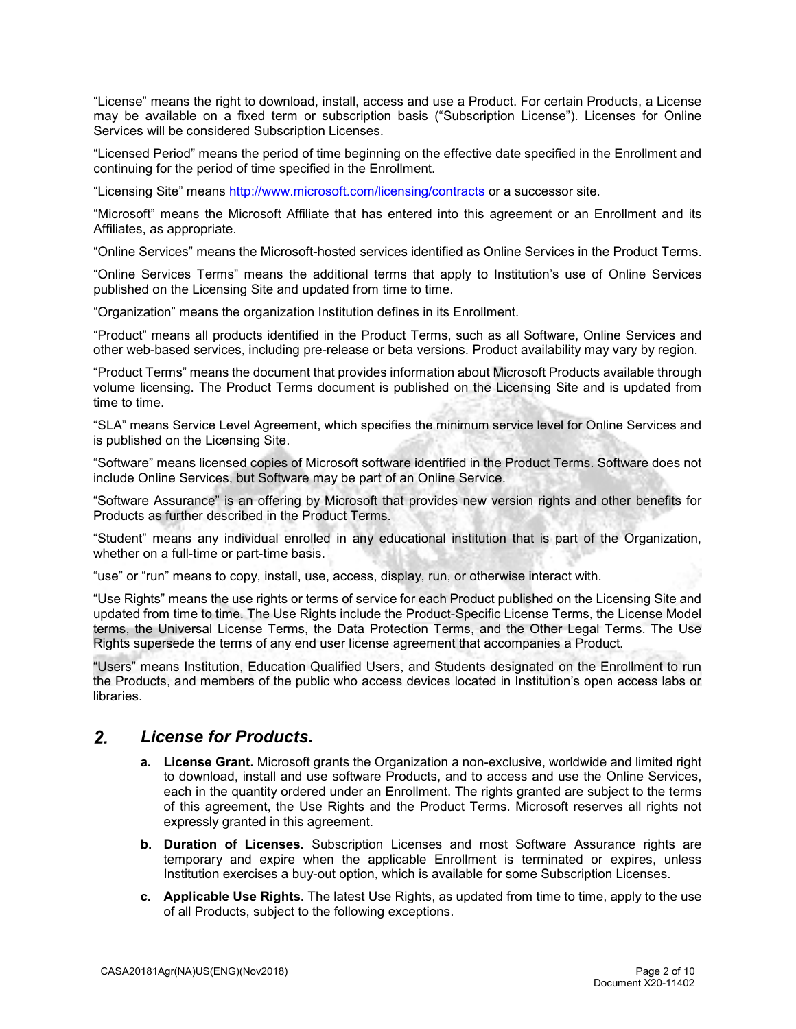"License" means the right to download, install, access and use a Product. For certain Products, a License may be available on a fixed term or subscription basis ("Subscription License"). Licenses for Online Services will be considered Subscription Licenses.

"Licensed Period" means the period of time beginning on the effective date specified in the Enrollment and continuing for the period of time specified in the Enrollment.

"Licensing Site" means<http://www.microsoft.com/licensing/contracts> or a successor site.

"Microsoft" means the Microsoft Affiliate that has entered into this agreement or an Enrollment and its Affiliates, as appropriate.

"Online Services" means the Microsoft-hosted services identified as Online Services in the Product Terms.

"Online Services Terms" means the additional terms that apply to Institution's use of Online Services published on the Licensing Site and updated from time to time.

"Organization" means the organization Institution defines in its Enrollment.

"Product" means all products identified in the Product Terms, such as all Software, Online Services and other web-based services, including pre-release or beta versions. Product availability may vary by region.

"Product Terms" means the document that provides information about Microsoft Products available through volume licensing. The Product Terms document is published on the Licensing Site and is updated from time to time.

"SLA" means Service Level Agreement, which specifies the minimum service level for Online Services and is published on the Licensing Site.

"Software" means licensed copies of Microsoft software identified in the Product Terms. Software does not include Online Services, but Software may be part of an Online Service.

"Software Assurance" is an offering by Microsoft that provides new version rights and other benefits for Products as further described in the Product Terms.

"Student" means any individual enrolled in any educational institution that is part of the Organization, whether on a full-time or part-time basis.

"use" or "run" means to copy, install, use, access, display, run, or otherwise interact with.

"Use Rights" means the use rights or terms of service for each Product published on the Licensing Site and updated from time to time. The Use Rights include the Product-Specific License Terms, the License Model terms, the Universal License Terms, the Data Protection Terms, and the Other Legal Terms. The Use Rights supersede the terms of any end user license agreement that accompanies a Product.

"Users" means Institution, Education Qualified Users, and Students designated on the Enrollment to run the Products, and members of the public who access devices located in Institution's open access labs or libraries.

#### $2<sub>1</sub>$ *License for Products.*

- **a. License Grant.** Microsoft grants the Organization a non-exclusive, worldwide and limited right to download, install and use software Products, and to access and use the Online Services, each in the quantity ordered under an Enrollment. The rights granted are subject to the terms of this agreement, the Use Rights and the Product Terms. Microsoft reserves all rights not expressly granted in this agreement.
- **b. Duration of Licenses.** Subscription Licenses and most Software Assurance rights are temporary and expire when the applicable Enrollment is terminated or expires, unless Institution exercises a buy-out option, which is available for some Subscription Licenses.
- **c. Applicable Use Rights.** The latest Use Rights, as updated from time to time, apply to the use of all Products, subject to the following exceptions.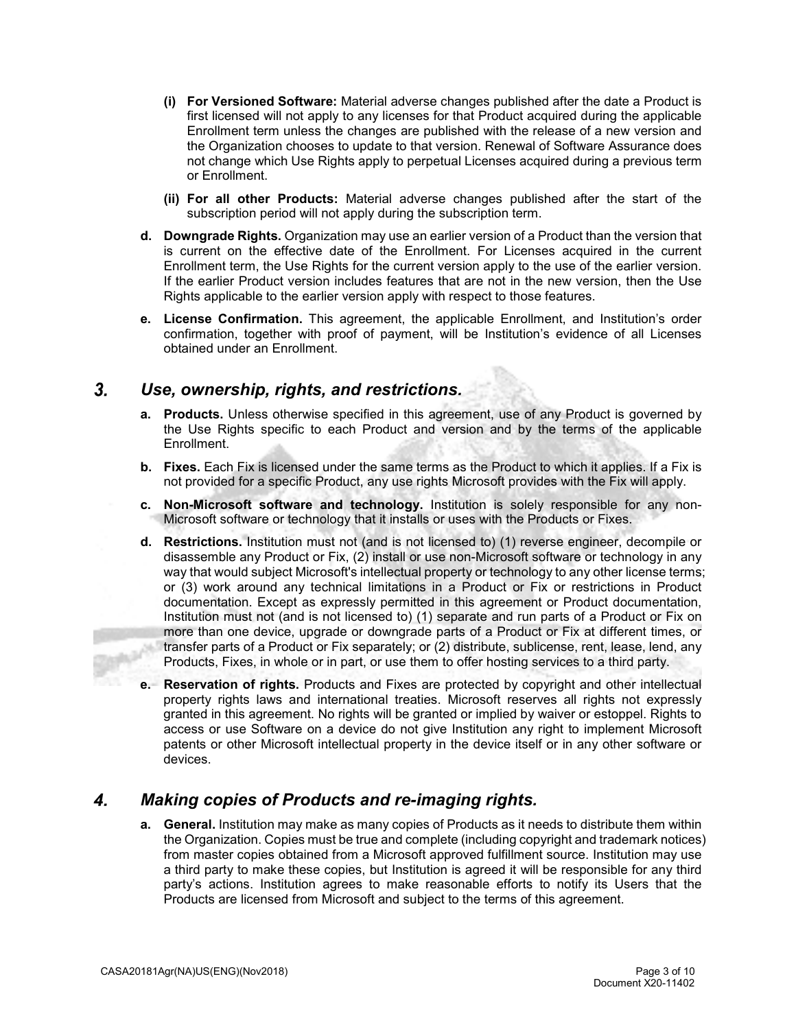- **(i) For Versioned Software:** Material adverse changes published after the date a Product is first licensed will not apply to any licenses for that Product acquired during the applicable Enrollment term unless the changes are published with the release of a new version and the Organization chooses to update to that version. Renewal of Software Assurance does not change which Use Rights apply to perpetual Licenses acquired during a previous term or Enrollment.
- **(ii) For all other Products:** Material adverse changes published after the start of the subscription period will not apply during the subscription term.
- **d. Downgrade Rights.** Organization may use an earlier version of a Product than the version that is current on the effective date of the Enrollment. For Licenses acquired in the current Enrollment term, the Use Rights for the current version apply to the use of the earlier version. If the earlier Product version includes features that are not in the new version, then the Use Rights applicable to the earlier version apply with respect to those features.
- **e. License Confirmation.** This agreement, the applicable Enrollment, and Institution's order confirmation, together with proof of payment, will be Institution's evidence of all Licenses obtained under an Enrollment.

#### $3<sub>1</sub>$ *Use, ownership, rights, and restrictions.*

- **a. Products.** Unless otherwise specified in this agreement, use of any Product is governed by the Use Rights specific to each Product and version and by the terms of the applicable Enrollment.
- **b. Fixes.** Each Fix is licensed under the same terms as the Product to which it applies. If a Fix is not provided for a specific Product, any use rights Microsoft provides with the Fix will apply.
- **c. Non-Microsoft software and technology.** Institution is solely responsible for any non-Microsoft software or technology that it installs or uses with the Products or Fixes.
- **d. Restrictions.** Institution must not (and is not licensed to) (1) reverse engineer, decompile or disassemble any Product or Fix, (2) install or use non-Microsoft software or technology in any way that would subject Microsoft's intellectual property or technology to any other license terms; or (3) work around any technical limitations in a Product or Fix or restrictions in Product documentation. Except as expressly permitted in this agreement or Product documentation, Institution must not (and is not licensed to) (1) separate and run parts of a Product or Fix on more than one device, upgrade or downgrade parts of a Product or Fix at different times, or transfer parts of a Product or Fix separately; or (2) distribute, sublicense, rent, lease, lend, any Products, Fixes, in whole or in part, or use them to offer hosting services to a third party.
- **e. Reservation of rights.** Products and Fixes are protected by copyright and other intellectual property rights laws and international treaties. Microsoft reserves all rights not expressly granted in this agreement. No rights will be granted or implied by waiver or estoppel. Rights to access or use Software on a device do not give Institution any right to implement Microsoft patents or other Microsoft intellectual property in the device itself or in any other software or devices.

#### 4. *Making copies of Products and re-imaging rights.*

**a. General.** Institution may make as many copies of Products as it needs to distribute them within the Organization. Copies must be true and complete (including copyright and trademark notices) from master copies obtained from a Microsoft approved fulfillment source. Institution may use a third party to make these copies, but Institution is agreed it will be responsible for any third party's actions. Institution agrees to make reasonable efforts to notify its Users that the Products are licensed from Microsoft and subject to the terms of this agreement.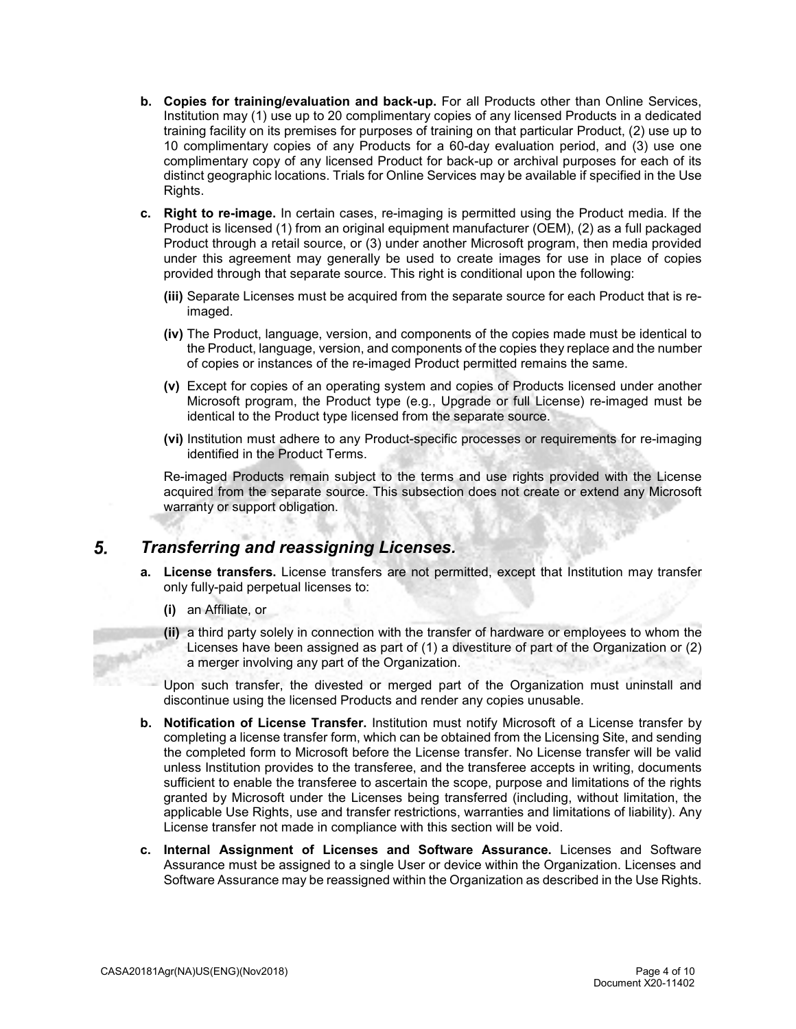- **b. Copies for training/evaluation and back-up.** For all Products other than Online Services, Institution may (1) use up to 20 complimentary copies of any licensed Products in a dedicated training facility on its premises for purposes of training on that particular Product, (2) use up to 10 complimentary copies of any Products for a 60-day evaluation period, and (3) use one complimentary copy of any licensed Product for back-up or archival purposes for each of its distinct geographic locations. Trials for Online Services may be available if specified in the Use Rights.
- **c. Right to re-image.** In certain cases, re-imaging is permitted using the Product media. If the Product is licensed (1) from an original equipment manufacturer (OEM), (2) as a full packaged Product through a retail source, or (3) under another Microsoft program, then media provided under this agreement may generally be used to create images for use in place of copies provided through that separate source. This right is conditional upon the following:
	- **(iii)** Separate Licenses must be acquired from the separate source for each Product that is reimaged.
	- **(iv)** The Product, language, version, and components of the copies made must be identical to the Product, language, version, and components of the copies they replace and the number of copies or instances of the re-imaged Product permitted remains the same.
	- **(v)** Except for copies of an operating system and copies of Products licensed under another Microsoft program, the Product type (e.g*.*, Upgrade or full License) re-imaged must be identical to the Product type licensed from the separate source.
	- **(vi)** Institution must adhere to any Product-specific processes or requirements for re-imaging identified in the Product Terms.

Re-imaged Products remain subject to the terms and use rights provided with the License acquired from the separate source. This subsection does not create or extend any Microsoft warranty or support obligation.

#### 5. *Transferring and reassigning Licenses.*

- **a. License transfers.** License transfers are not permitted, except that Institution may transfer only fully-paid perpetual licenses to:
	- **(i)** an Affiliate, or
	- **(ii)** a third party solely in connection with the transfer of hardware or employees to whom the Licenses have been assigned as part of (1) a divestiture of part of the Organization or (2) a merger involving any part of the Organization.

Upon such transfer, the divested or merged part of the Organization must uninstall and discontinue using the licensed Products and render any copies unusable.

- **b. Notification of License Transfer.** Institution must notify Microsoft of a License transfer by completing a license transfer form, which can be obtained from the Licensing Site, and sending the completed form to Microsoft before the License transfer. No License transfer will be valid unless Institution provides to the transferee, and the transferee accepts in writing, documents sufficient to enable the transferee to ascertain the scope, purpose and limitations of the rights granted by Microsoft under the Licenses being transferred (including, without limitation, the applicable Use Rights, use and transfer restrictions, warranties and limitations of liability). Any License transfer not made in compliance with this section will be void.
- **c. Internal Assignment of Licenses and Software Assurance.** Licenses and Software Assurance must be assigned to a single User or device within the Organization. Licenses and Software Assurance may be reassigned within the Organization as described in the Use Rights.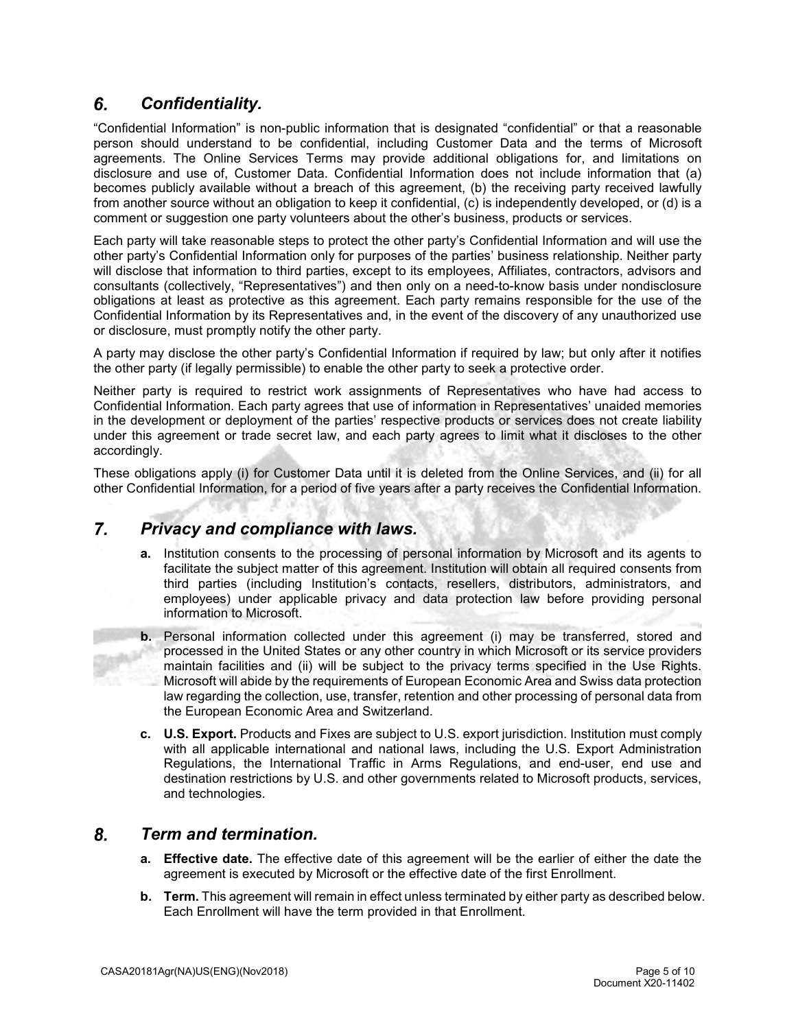## 6. *Confidentiality.*

"Confidential Information" is non-public information that is designated "confidential" or that a reasonable person should understand to be confidential, including Customer Data and the terms of Microsoft agreements. The Online Services Terms may provide additional obligations for, and limitations on disclosure and use of, Customer Data. Confidential Information does not include information that (a) becomes publicly available without a breach of this agreement, (b) the receiving party received lawfully from another source without an obligation to keep it confidential, (c) is independently developed, or (d) is a comment or suggestion one party volunteers about the other's business, products or services.

Each party will take reasonable steps to protect the other party's Confidential Information and will use the other party's Confidential Information only for purposes of the parties' business relationship. Neither party will disclose that information to third parties, except to its employees, Affiliates, contractors, advisors and consultants (collectively, "Representatives") and then only on a need-to-know basis under nondisclosure obligations at least as protective as this agreement. Each party remains responsible for the use of the Confidential Information by its Representatives and, in the event of the discovery of any unauthorized use or disclosure, must promptly notify the other party.

A party may disclose the other party's Confidential Information if required by law; but only after it notifies the other party (if legally permissible) to enable the other party to seek a protective order.

Neither party is required to restrict work assignments of Representatives who have had access to Confidential Information. Each party agrees that use of information in Representatives' unaided memories in the development or deployment of the parties' respective products or services does not create liability under this agreement or trade secret law, and each party agrees to limit what it discloses to the other accordingly.

These obligations apply (i) for Customer Data until it is deleted from the Online Services, and (ii) for all other Confidential Information, for a period of five years after a party receives the Confidential Information.

#### 7. *Privacy and compliance with laws.*

- **a.** Institution consents to the processing of personal information by Microsoft and its agents to facilitate the subject matter of this agreement. Institution will obtain all required consents from third parties (including Institution's contacts, resellers, distributors, administrators, and employees) under applicable privacy and data protection law before providing personal information to Microsoft.
- **b.** Personal information collected under this agreement (i) may be transferred, stored and processed in the United States or any other country in which Microsoft or its service providers maintain facilities and (ii) will be subject to the privacy terms specified in the Use Rights. Microsoft will abide by the requirements of European Economic Area and Swiss data protection law regarding the collection, use, transfer, retention and other processing of personal data from the European Economic Area and Switzerland.
- **c. U.S. Export.** Products and Fixes are subject to U.S. export jurisdiction. Institution must comply with all applicable international and national laws, including the U.S. Export Administration Regulations, the International Traffic in Arms Regulations, and end-user, end use and destination restrictions by U.S. and other governments related to Microsoft products, services, and technologies.

#### 8. *Term and termination.*

- **a. Effective date.** The effective date of this agreement will be the earlier of either the date the agreement is executed by Microsoft or the effective date of the first Enrollment.
- **b. Term.** This agreement will remain in effect unless terminated by either party as described below. Each Enrollment will have the term provided in that Enrollment.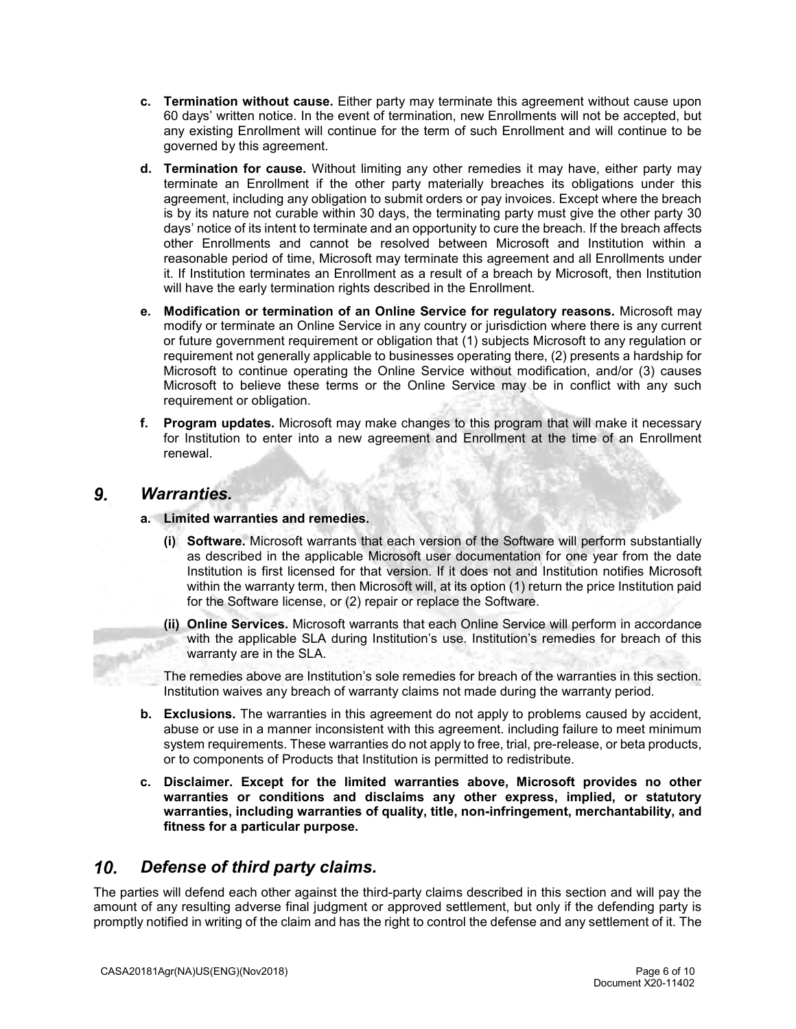- **c. Termination without cause.** Either party may terminate this agreement without cause upon 60 days' written notice. In the event of termination, new Enrollments will not be accepted, but any existing Enrollment will continue for the term of such Enrollment and will continue to be governed by this agreement.
- **d. Termination for cause.** Without limiting any other remedies it may have, either party may terminate an Enrollment if the other party materially breaches its obligations under this agreement, including any obligation to submit orders or pay invoices. Except where the breach is by its nature not curable within 30 days, the terminating party must give the other party 30 days' notice of its intent to terminate and an opportunity to cure the breach. If the breach affects other Enrollments and cannot be resolved between Microsoft and Institution within a reasonable period of time, Microsoft may terminate this agreement and all Enrollments under it. If Institution terminates an Enrollment as a result of a breach by Microsoft, then Institution will have the early termination rights described in the Enrollment.
- **e. Modification or termination of an Online Service for regulatory reasons.** Microsoft may modify or terminate an Online Service in any country or jurisdiction where there is any current or future government requirement or obligation that (1) subjects Microsoft to any regulation or requirement not generally applicable to businesses operating there, (2) presents a hardship for Microsoft to continue operating the Online Service without modification, and/or (3) causes Microsoft to believe these terms or the Online Service may be in conflict with any such requirement or obligation.
- **f. Program updates.** Microsoft may make changes to this program that will make it necessary for Institution to enter into a new agreement and Enrollment at the time of an Enrollment renewal.

#### 9. *Warranties.*

- **a. Limited warranties and remedies.**
	- **(i) Software.** Microsoft warrants that each version of the Software will perform substantially as described in the applicable Microsoft user documentation for one year from the date Institution is first licensed for that version. If it does not and Institution notifies Microsoft within the warranty term, then Microsoft will, at its option (1) return the price Institution paid for the Software license, or (2) repair or replace the Software.
	- **(ii) Online Services.** Microsoft warrants that each Online Service will perform in accordance with the applicable SLA during Institution's use. Institution's remedies for breach of this warranty are in the SLA.

The remedies above are Institution's sole remedies for breach of the warranties in this section. Institution waives any breach of warranty claims not made during the warranty period.

- **b. Exclusions.** The warranties in this agreement do not apply to problems caused by accident, abuse or use in a manner inconsistent with this agreement. including failure to meet minimum system requirements. These warranties do not apply to free, trial, pre-release, or beta products, or to components of Products that Institution is permitted to redistribute.
- **c. Disclaimer. Except for the limited warranties above, Microsoft provides no other warranties or conditions and disclaims any other express, implied, or statutory warranties, including warranties of quality, title, non-infringement, merchantability, and fitness for a particular purpose.**

#### $10<sub>1</sub>$ *Defense of third party claims.*

The parties will defend each other against the third-party claims described in this section and will pay the amount of any resulting adverse final judgment or approved settlement, but only if the defending party is promptly notified in writing of the claim and has the right to control the defense and any settlement of it. The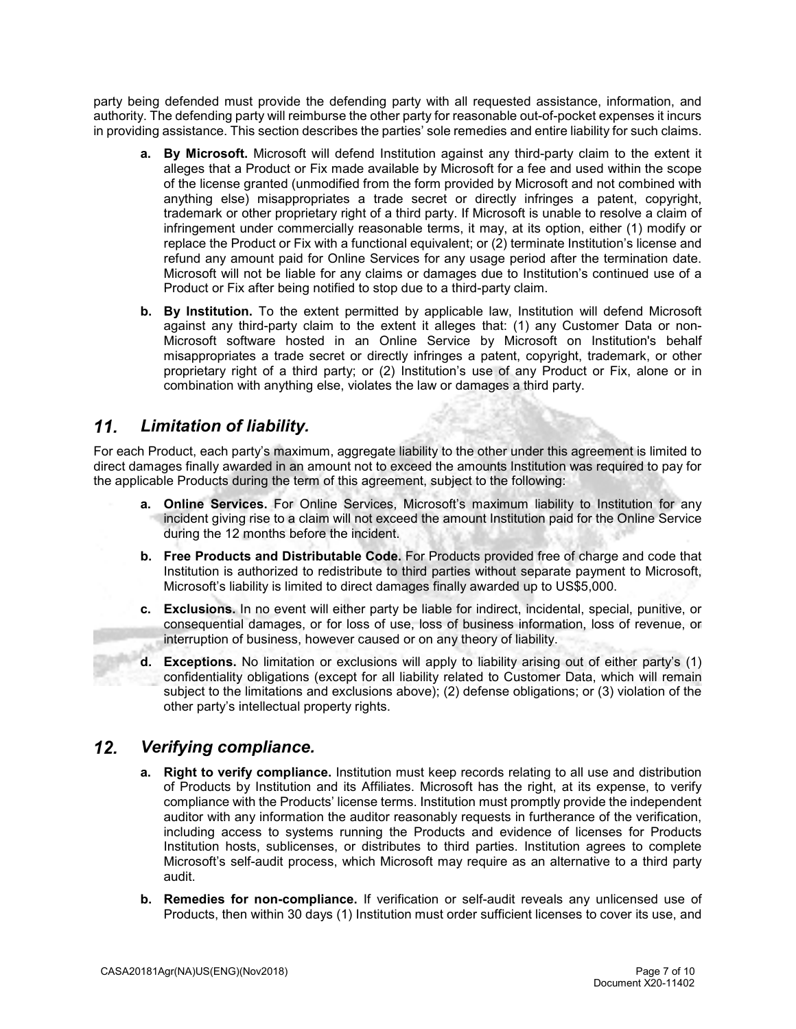party being defended must provide the defending party with all requested assistance, information, and authority. The defending party will reimburse the other party for reasonable out-of-pocket expenses it incurs in providing assistance. This section describes the parties' sole remedies and entire liability for such claims.

- **a. By Microsoft.** Microsoft will defend Institution against any third-party claim to the extent it alleges that a Product or Fix made available by Microsoft for a fee and used within the scope of the license granted (unmodified from the form provided by Microsoft and not combined with anything else) misappropriates a trade secret or directly infringes a patent, copyright, trademark or other proprietary right of a third party. If Microsoft is unable to resolve a claim of infringement under commercially reasonable terms, it may, at its option, either (1) modify or replace the Product or Fix with a functional equivalent; or (2) terminate Institution's license and refund any amount paid for Online Services for any usage period after the termination date. Microsoft will not be liable for any claims or damages due to Institution's continued use of a Product or Fix after being notified to stop due to a third-party claim.
- **b. By Institution.** To the extent permitted by applicable law, Institution will defend Microsoft against any third-party claim to the extent it alleges that: (1) any Customer Data or non-Microsoft software hosted in an Online Service by Microsoft on Institution's behalf misappropriates a trade secret or directly infringes a patent, copyright, trademark, or other proprietary right of a third party; or (2) Institution's use of any Product or Fix, alone or in combination with anything else, violates the law or damages a third party.

### $11<sub>1</sub>$ *Limitation of liability.*

For each Product, each party's maximum, aggregate liability to the other under this agreement is limited to direct damages finally awarded in an amount not to exceed the amounts Institution was required to pay for the applicable Products during the term of this agreement, subject to the following:

- **a. Online Services.** For Online Services, Microsoft's maximum liability to Institution for any incident giving rise to a claim will not exceed the amount Institution paid for the Online Service during the 12 months before the incident.
- **b. Free Products and Distributable Code.** For Products provided free of charge and code that Institution is authorized to redistribute to third parties without separate payment to Microsoft, Microsoft's liability is limited to direct damages finally awarded up to US\$5,000.
- **c. Exclusions.** In no event will either party be liable for indirect, incidental, special, punitive, or consequential damages, or for loss of use, loss of business information, loss of revenue, or interruption of business, however caused or on any theory of liability.
- **d. Exceptions.** No limitation or exclusions will apply to liability arising out of either party's (1) confidentiality obligations (except for all liability related to Customer Data, which will remain subject to the limitations and exclusions above); (2) defense obligations; or (3) violation of the other party's intellectual property rights.

#### $12.$ *Verifying compliance.*

- **a. Right to verify compliance.** Institution must keep records relating to all use and distribution of Products by Institution and its Affiliates. Microsoft has the right, at its expense, to verify compliance with the Products' license terms. Institution must promptly provide the independent auditor with any information the auditor reasonably requests in furtherance of the verification, including access to systems running the Products and evidence of licenses for Products Institution hosts, sublicenses, or distributes to third parties. Institution agrees to complete Microsoft's self-audit process, which Microsoft may require as an alternative to a third party audit.
- **b. Remedies for non-compliance.** If verification or self-audit reveals any unlicensed use of Products, then within 30 days (1) Institution must order sufficient licenses to cover its use, and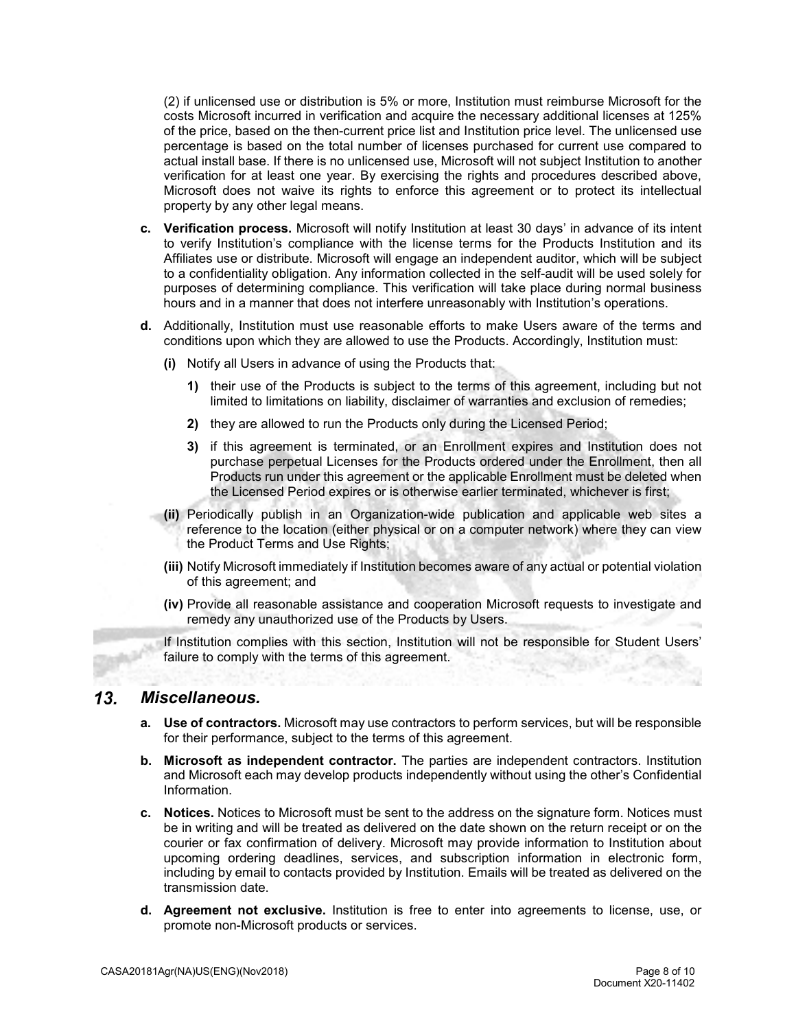(2) if unlicensed use or distribution is 5% or more, Institution must reimburse Microsoft for the costs Microsoft incurred in verification and acquire the necessary additional licenses at 125% of the price, based on the then-current price list and Institution price level. The unlicensed use percentage is based on the total number of licenses purchased for current use compared to actual install base. If there is no unlicensed use, Microsoft will not subject Institution to another verification for at least one year. By exercising the rights and procedures described above, Microsoft does not waive its rights to enforce this agreement or to protect its intellectual property by any other legal means.

- **c. Verification process.** Microsoft will notify Institution at least 30 days' in advance of its intent to verify Institution's compliance with the license terms for the Products Institution and its Affiliates use or distribute. Microsoft will engage an independent auditor, which will be subject to a confidentiality obligation. Any information collected in the self-audit will be used solely for purposes of determining compliance. This verification will take place during normal business hours and in a manner that does not interfere unreasonably with Institution's operations.
- **d.** Additionally, Institution must use reasonable efforts to make Users aware of the terms and conditions upon which they are allowed to use the Products. Accordingly, Institution must:
	- **(i)** Notify all Users in advance of using the Products that:
		- **1)** their use of the Products is subject to the terms of this agreement, including but not limited to limitations on liability, disclaimer of warranties and exclusion of remedies;
		- **2)** they are allowed to run the Products only during the Licensed Period;
		- **3)** if this agreement is terminated, or an Enrollment expires and Institution does not purchase perpetual Licenses for the Products ordered under the Enrollment, then all Products run under this agreement or the applicable Enrollment must be deleted when the Licensed Period expires or is otherwise earlier terminated, whichever is first;
	- **(ii)** Periodically publish in an Organization-wide publication and applicable web sites a reference to the location (either physical or on a computer network) where they can view the Product Terms and Use Rights;
	- **(iii)** Notify Microsoft immediately if Institution becomes aware of any actual or potential violation of this agreement; and
	- **(iv)** Provide all reasonable assistance and cooperation Microsoft requests to investigate and remedy any unauthorized use of the Products by Users.

If Institution complies with this section, Institution will not be responsible for Student Users' failure to comply with the terms of this agreement.

#### $13.$ *Miscellaneous.*

- **a. Use of contractors.** Microsoft may use contractors to perform services, but will be responsible for their performance, subject to the terms of this agreement.
- **b. Microsoft as independent contractor.** The parties are independent contractors. Institution and Microsoft each may develop products independently without using the other's Confidential Information.
- **c. Notices.** Notices to Microsoft must be sent to the address on the signature form. Notices must be in writing and will be treated as delivered on the date shown on the return receipt or on the courier or fax confirmation of delivery. Microsoft may provide information to Institution about upcoming ordering deadlines, services, and subscription information in electronic form, including by email to contacts provided by Institution. Emails will be treated as delivered on the transmission date.
- **d. Agreement not exclusive.** Institution is free to enter into agreements to license, use, or promote non-Microsoft products or services.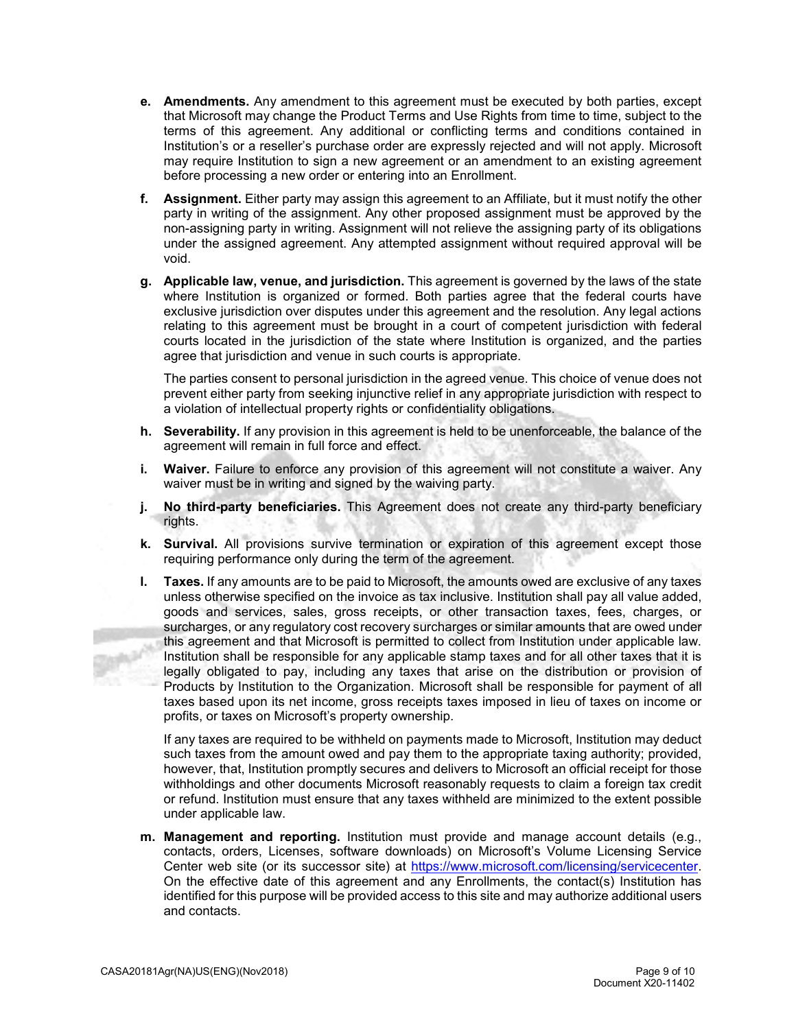- **e. Amendments.** Any amendment to this agreement must be executed by both parties, except that Microsoft may change the Product Terms and Use Rights from time to time, subject to the terms of this agreement. Any additional or conflicting terms and conditions contained in Institution's or a reseller's purchase order are expressly rejected and will not apply. Microsoft may require Institution to sign a new agreement or an amendment to an existing agreement before processing a new order or entering into an Enrollment.
- **f. Assignment.** Either party may assign this agreement to an Affiliate, but it must notify the other party in writing of the assignment. Any other proposed assignment must be approved by the non-assigning party in writing. Assignment will not relieve the assigning party of its obligations under the assigned agreement. Any attempted assignment without required approval will be void.
- **g. Applicable law, venue, and jurisdiction.** This agreement is governed by the laws of the state where Institution is organized or formed. Both parties agree that the federal courts have exclusive jurisdiction over disputes under this agreement and the resolution. Any legal actions relating to this agreement must be brought in a court of competent jurisdiction with federal courts located in the jurisdiction of the state where Institution is organized, and the parties agree that jurisdiction and venue in such courts is appropriate.

The parties consent to personal jurisdiction in the agreed venue. This choice of venue does not prevent either party from seeking injunctive relief in any appropriate jurisdiction with respect to a violation of intellectual property rights or confidentiality obligations.

- **h. Severability.** If any provision in this agreement is held to be unenforceable, the balance of the agreement will remain in full force and effect.
- **i. Waiver.** Failure to enforce any provision of this agreement will not constitute a waiver. Any waiver must be in writing and signed by the waiving party.
- **j. No third-party beneficiaries.** This Agreement does not create any third-party beneficiary rights.
- **k. Survival.** All provisions survive termination or expiration of this agreement except those requiring performance only during the term of the agreement.
- **l. Taxes.** If any amounts are to be paid to Microsoft, the amounts owed are exclusive of any taxes unless otherwise specified on the invoice as tax inclusive. Institution shall pay all value added, goods and services, sales, gross receipts, or other transaction taxes, fees, charges, or surcharges, or any regulatory cost recovery surcharges or similar amounts that are owed under this agreement and that Microsoft is permitted to collect from Institution under applicable law. Institution shall be responsible for any applicable stamp taxes and for all other taxes that it is legally obligated to pay, including any taxes that arise on the distribution or provision of Products by Institution to the Organization. Microsoft shall be responsible for payment of all taxes based upon its net income, gross receipts taxes imposed in lieu of taxes on income or profits, or taxes on Microsoft's property ownership.

If any taxes are required to be withheld on payments made to Microsoft, Institution may deduct such taxes from the amount owed and pay them to the appropriate taxing authority; provided, however, that, Institution promptly secures and delivers to Microsoft an official receipt for those withholdings and other documents Microsoft reasonably requests to claim a foreign tax credit or refund. Institution must ensure that any taxes withheld are minimized to the extent possible under applicable law.

**m. Management and reporting.** Institution must provide and manage account details (e.g., contacts, orders, Licenses, software downloads) on Microsoft's Volume Licensing Service Center web site (or its successor site) at [https://www.microsoft.com/licensing/servicecenter.](https://www.microsoft.com/licensing/servicecenter) On the effective date of this agreement and any Enrollments, the contact(s) Institution has identified for this purpose will be provided access to this site and may authorize additional users and contacts.